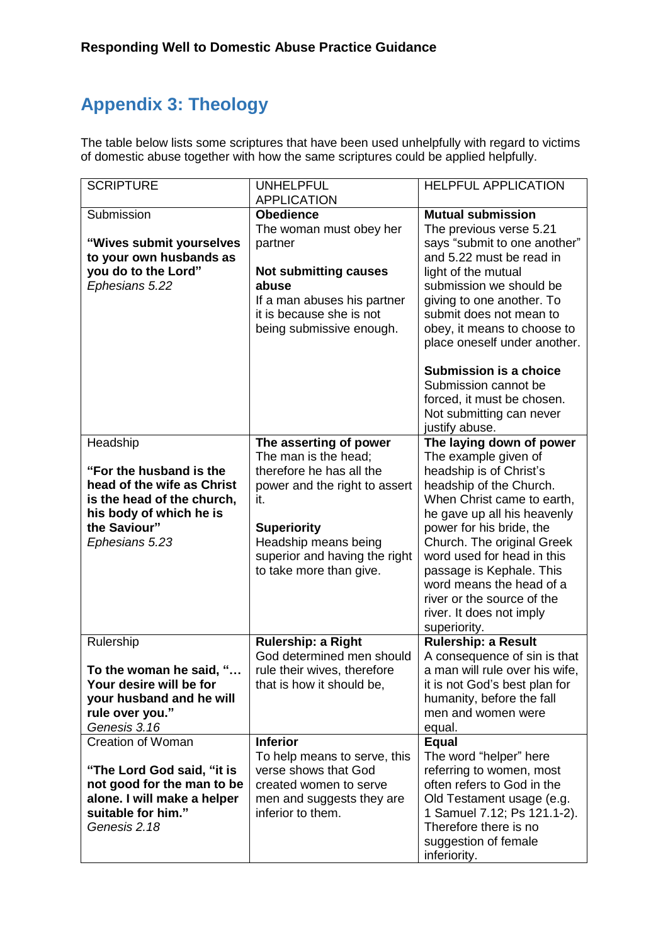## **Appendix 3: Theology**

The table below lists some scriptures that have been used unhelpfully with regard to victims of domestic abuse together with how the same scriptures could be applied helpfully.

| <b>SCRIPTURE</b>                                         | <b>UNHELPFUL</b><br><b>APPLICATION</b>                | <b>HELPFUL APPLICATION</b>                                  |
|----------------------------------------------------------|-------------------------------------------------------|-------------------------------------------------------------|
| Submission                                               | <b>Obedience</b>                                      | <b>Mutual submission</b>                                    |
|                                                          | The woman must obey her                               | The previous verse 5.21                                     |
| "Wives submit yourselves<br>to your own husbands as      | partner                                               | says "submit to one another"<br>and 5.22 must be read in    |
| you do to the Lord"                                      | <b>Not submitting causes</b>                          | light of the mutual                                         |
| Ephesians 5.22                                           | abuse                                                 | submission we should be                                     |
|                                                          | If a man abuses his partner                           | giving to one another. To                                   |
|                                                          | it is because she is not                              | submit does not mean to                                     |
|                                                          | being submissive enough.                              | obey, it means to choose to<br>place oneself under another. |
|                                                          |                                                       |                                                             |
|                                                          |                                                       | <b>Submission is a choice</b>                               |
|                                                          |                                                       | Submission cannot be                                        |
|                                                          |                                                       | forced, it must be chosen.<br>Not submitting can never      |
|                                                          |                                                       | justify abuse.                                              |
| Headship                                                 | The asserting of power                                | The laying down of power                                    |
| "For the husband is the                                  | The man is the head:<br>therefore he has all the      | The example given of                                        |
| head of the wife as Christ                               | power and the right to assert                         | headship is of Christ's<br>headship of the Church.          |
| is the head of the church,                               | it.                                                   | When Christ came to earth,                                  |
| his body of which he is                                  |                                                       | he gave up all his heavenly                                 |
| the Saviour"                                             | <b>Superiority</b>                                    | power for his bride, the                                    |
| Ephesians 5.23                                           | Headship means being<br>superior and having the right | Church. The original Greek<br>word used for head in this    |
|                                                          | to take more than give.                               | passage is Kephale. This                                    |
|                                                          |                                                       | word means the head of a                                    |
|                                                          |                                                       | river or the source of the                                  |
|                                                          |                                                       | river. It does not imply                                    |
| Rulership                                                | Rulership: a Right                                    | superiority.<br>Rulership: a Result                         |
|                                                          | God determined men should                             | A consequence of sin is that                                |
| To the woman he said, "                                  | rule their wives, therefore                           | a man will rule over his wife,                              |
| Your desire will be for                                  | that is how it should be,                             | it is not God's best plan for                               |
| your husband and he will<br>rule over you."              |                                                       | humanity, before the fall<br>men and women were             |
| Genesis 3.16                                             |                                                       | equal.                                                      |
| <b>Creation of Woman</b>                                 | <b>Inferior</b>                                       | <b>Equal</b>                                                |
|                                                          | To help means to serve, this                          | The word "helper" here                                      |
| "The Lord God said, "it is<br>not good for the man to be | verse shows that God<br>created women to serve        | referring to women, most<br>often refers to God in the      |
| alone. I will make a helper                              | men and suggests they are                             | Old Testament usage (e.g.                                   |
| suitable for him."                                       | inferior to them.                                     | 1 Samuel 7.12; Ps 121.1-2).                                 |
| Genesis 2.18                                             |                                                       | Therefore there is no                                       |
|                                                          |                                                       | suggestion of female<br>inferiority.                        |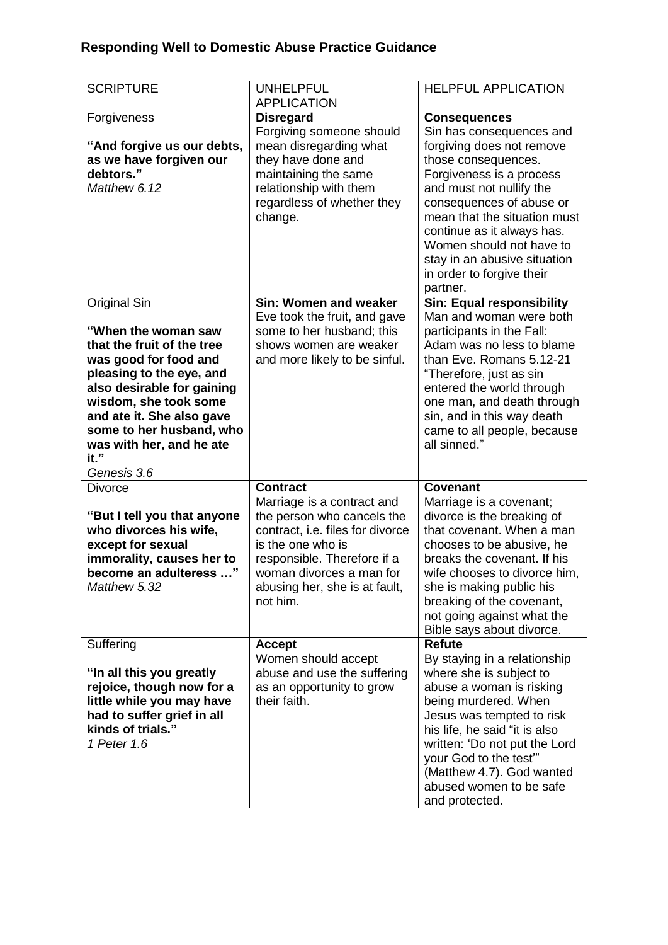## **Responding Well to Domestic Abuse Practice Guidance**

| <b>SCRIPTURE</b>                                                                                                                                                                                                                                                                          | <b>UNHELPFUL</b><br><b>APPLICATION</b>                                                                                                                                                                                    | <b>HELPFUL APPLICATION</b>                                                                                                                                                                                                                                                                                                     |
|-------------------------------------------------------------------------------------------------------------------------------------------------------------------------------------------------------------------------------------------------------------------------------------------|---------------------------------------------------------------------------------------------------------------------------------------------------------------------------------------------------------------------------|--------------------------------------------------------------------------------------------------------------------------------------------------------------------------------------------------------------------------------------------------------------------------------------------------------------------------------|
| Forgiveness                                                                                                                                                                                                                                                                               | <b>Disregard</b>                                                                                                                                                                                                          | <b>Consequences</b>                                                                                                                                                                                                                                                                                                            |
| "And forgive us our debts,<br>as we have forgiven our<br>debtors."                                                                                                                                                                                                                        | Forgiving someone should<br>mean disregarding what<br>they have done and<br>maintaining the same                                                                                                                          | Sin has consequences and<br>forgiving does not remove<br>those consequences.<br>Forgiveness is a process                                                                                                                                                                                                                       |
| Matthew 6.12                                                                                                                                                                                                                                                                              | relationship with them<br>regardless of whether they<br>change.                                                                                                                                                           | and must not nullify the<br>consequences of abuse or<br>mean that the situation must<br>continue as it always has.<br>Women should not have to<br>stay in an abusive situation<br>in order to forgive their<br>partner.                                                                                                        |
| Original Sin<br>"When the woman saw<br>that the fruit of the tree<br>was good for food and<br>pleasing to the eye, and<br>also desirable for gaining<br>wisdom, she took some<br>and ate it. She also gave<br>some to her husband, who<br>was with her, and he ate<br>it."<br>Genesis 3.6 | Sin: Women and weaker<br>Eve took the fruit, and gave<br>some to her husband; this<br>shows women are weaker<br>and more likely to be sinful.                                                                             | <b>Sin: Equal responsibility</b><br>Man and woman were both<br>participants in the Fall:<br>Adam was no less to blame<br>than Eve. Romans 5.12-21<br>"Therefore, just as sin<br>entered the world through<br>one man, and death through<br>sin, and in this way death<br>came to all people, because<br>all sinned."           |
| <b>Divorce</b>                                                                                                                                                                                                                                                                            | <b>Contract</b>                                                                                                                                                                                                           | <b>Covenant</b>                                                                                                                                                                                                                                                                                                                |
| "But I tell you that anyone<br>who divorces his wife,<br>except for sexual<br>immorality, causes her to<br>become an adulteress "<br>Matthew 5.32                                                                                                                                         | Marriage is a contract and<br>the person who cancels the<br>contract, i.e. files for divorce<br>is the one who is<br>responsible. Therefore if a<br>woman divorces a man for<br>abusing her, she is at fault,<br>not him. | Marriage is a covenant;<br>divorce is the breaking of<br>that covenant. When a man<br>chooses to be abusive, he<br>breaks the covenant. If his<br>wife chooses to divorce him,<br>she is making public his<br>breaking of the covenant,<br>not going against what the<br>Bible says about divorce.                             |
| Suffering<br>"In all this you greatly<br>rejoice, though now for a<br>little while you may have<br>had to suffer grief in all<br>kinds of trials."<br>1 Peter 1.6                                                                                                                         | <b>Accept</b><br>Women should accept<br>abuse and use the suffering<br>as an opportunity to grow<br>their faith.                                                                                                          | <b>Refute</b><br>By staying in a relationship<br>where she is subject to<br>abuse a woman is risking<br>being murdered. When<br>Jesus was tempted to risk<br>his life, he said "it is also<br>written: 'Do not put the Lord<br>your God to the test"<br>(Matthew 4.7). God wanted<br>abused women to be safe<br>and protected. |